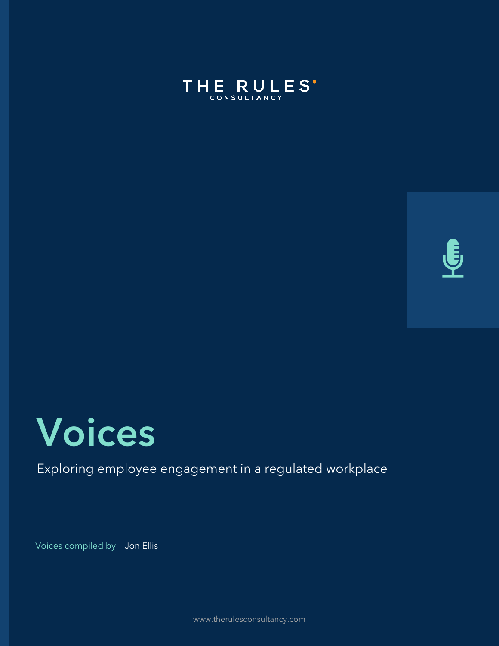





#### Exploring employee engagement in a regulated workplace

Voices compiled by Jon Ellis

www.therulesconsultancy.com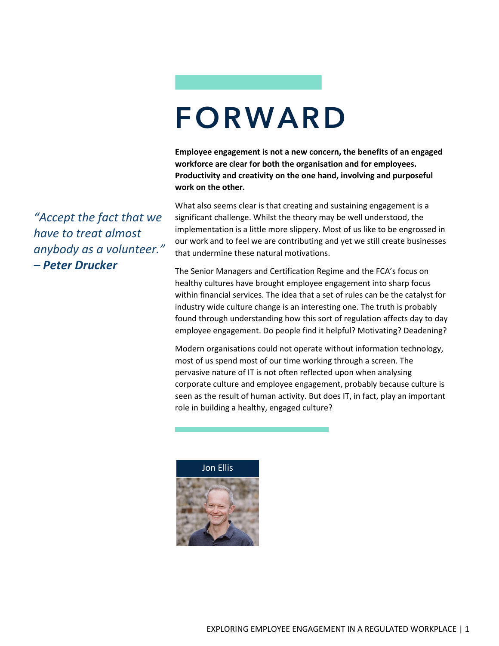### FORWARD

**Employee engagement is not a new concern, the benefits of an engaged workforce are clear for both the organisation and for employees. Productivity and creativity on the one hand, involving and purposeful work on the other.** 

What also seems clear is that creating and sustaining engagement is a significant challenge. Whilst the theory may be well understood, the implementation is a little more slippery. Most of us like to be engrossed in our work and to feel we are contributing and yet we still create businesses that undermine these natural motivations.

The Senior Managers and Certification Regime and the FCA's focus on healthy cultures have brought employee engagement into sharp focus within financial services. The idea that a set of rules can be the catalyst for industry wide culture change is an interesting one. The truth is probably found through understanding how this sort of regulation affects day to day employee engagement. Do people find it helpful? Motivating? Deadening?

Modern organisations could not operate without information technology, most of us spend most of our time working through a screen. The pervasive nature of IT is not often reflected upon when analysing corporate culture and employee engagement, probably because culture is seen as the result of human activity. But does IT, in fact, play an important role in building a healthy, engaged culture?



*"Accept the fact that we have to treat almost anybody as a volunteer." – Peter Drucker*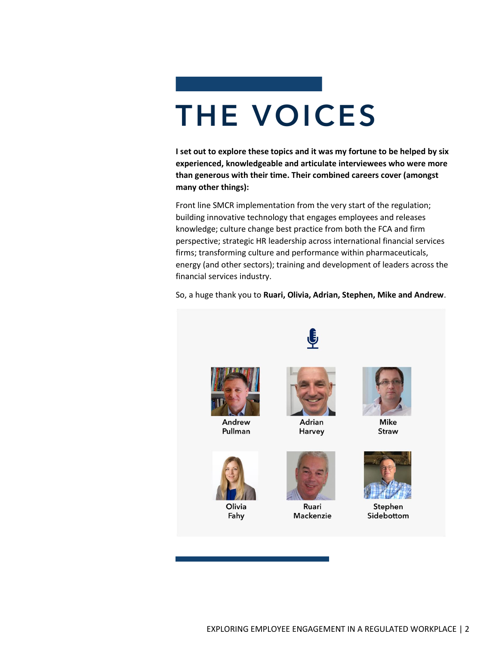# THE VOICES

**I set out to explore these topics and it was my fortune to be helped by six experienced, knowledgeable and articulate interviewees who were more than generous with their time. Their combined careers cover (amongst many other things):** 

Front line SMCR implementation from the very start of the regulation; building innovative technology that engages employees and releases knowledge; culture change best practice from both the FCA and firm perspective; strategic HR leadership across international financial services firms; transforming culture and performance within pharmaceuticals, energy (and other sectors); training and development of leaders across the financial services industry.

So, a huge thank you to **Ruari, Olivia, Adrian, Stephen, Mike and Andrew**.

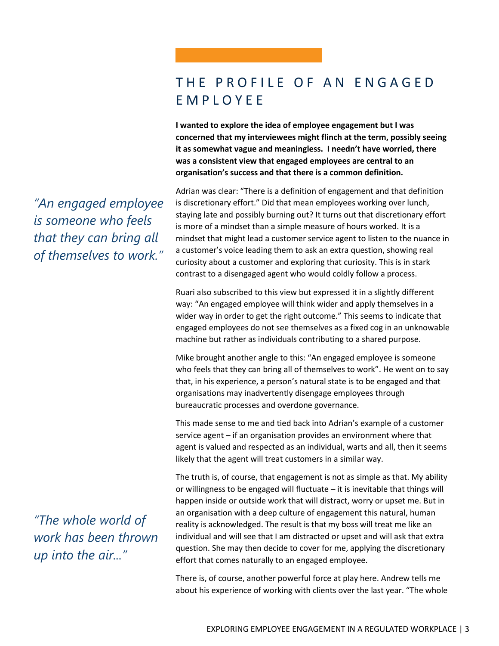#### THE PROFILE OF AN ENGAGED E M P L O Y E E

**I wanted to explore the idea of employee engagement but I was concerned that my interviewees might flinch at the term, possibly seeing it as somewhat vague and meaningless. I needn't have worried, there was a consistent view that engaged employees are central to an organisation's success and that there is a common definition.** 

Adrian was clear: "There is a definition of engagement and that definition is discretionary effort." Did that mean employees working over lunch, staying late and possibly burning out? It turns out that discretionary effort is more of a mindset than a simple measure of hours worked. It is a mindset that might lead a customer service agent to listen to the nuance in a customer's voice leading them to ask an extra question, showing real curiosity about a customer and exploring that curiosity. This is in stark contrast to a disengaged agent who would coldly follow a process.

Ruari also subscribed to this view but expressed it in a slightly different way: "An engaged employee will think wider and apply themselves in a wider way in order to get the right outcome." This seems to indicate that engaged employees do not see themselves as a fixed cog in an unknowable machine but rather as individuals contributing to a shared purpose.

Mike brought another angle to this: "An engaged employee is someone who feels that they can bring all of themselves to work". He went on to say that, in his experience, a person's natural state is to be engaged and that organisations may inadvertently disengage employees through bureaucratic processes and overdone governance.

This made sense to me and tied back into Adrian's example of a customer service agent – if an organisation provides an environment where that agent is valued and respected as an individual, warts and all, then it seems likely that the agent will treat customers in a similar way.

The truth is, of course, that engagement is not as simple as that. My ability or willingness to be engaged will fluctuate – it is inevitable that things will happen inside or outside work that will distract, worry or upset me. But in an organisation with a deep culture of engagement this natural, human reality is acknowledged. The result is that my boss will treat me like an individual and will see that I am distracted or upset and will ask that extra question. She may then decide to cover for me, applying the discretionary effort that comes naturally to an engaged employee.

There is, of course, another powerful force at play here. Andrew tells me about his experience of working with clients over the last year. "The whole

*"An engaged employee is someone who feels that they can bring all of themselves to work."* 

*"The whole world of work has been thrown up into the air..."*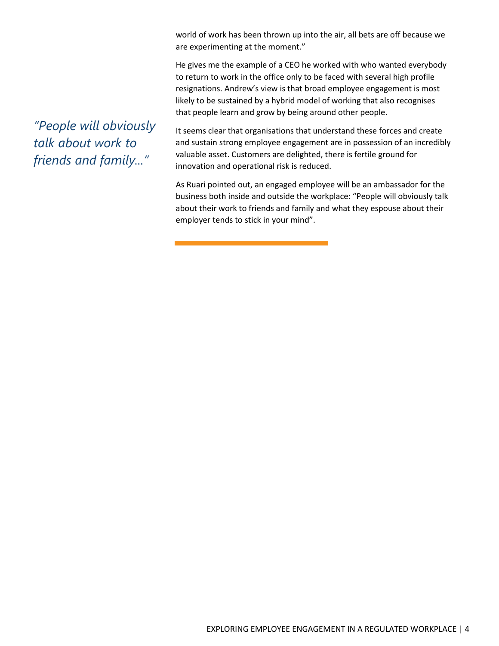world of work has been thrown up into the air, all bets are off because we are experimenting at the moment."

He gives me the example of a CEO he worked with who wanted everybody to return to work in the office only to be faced with several high profile resignations. Andrew's view is that broad employee engagement is most likely to be sustained by a hybrid model of working that also recognises that people learn and grow by being around other people.

*"People will obviously talk about work to friends and family..."* 

It seems clear that organisations that understand these forces and create and sustain strong employee engagement are in possession of an incredibly valuable asset. Customers are delighted, there is fertile ground for innovation and operational risk is reduced.

As Ruari pointed out, an engaged employee will be an ambassador for the business both inside and outside the workplace: "People will obviously talk about their work to friends and family and what they espouse about their employer tends to stick in your mind".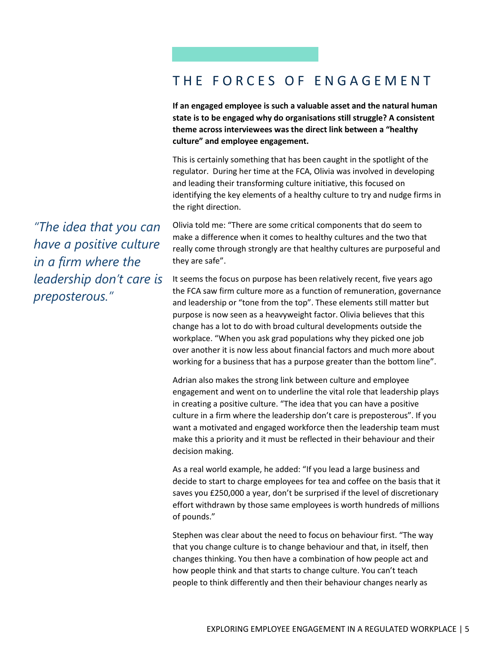#### THE FORCES OF ENGAGEMENT

**If an engaged employee is such a valuable asset and the natural human state is to be engaged why do organisations still struggle? A consistent theme across interviewees was the direct link between a "healthy culture" and employee engagement.** 

This is certainly something that has been caught in the spotlight of the regulator. During her time at the FCA, Olivia was involved in developing and leading their transforming culture initiative, this focused on identifying the key elements of a healthy culture to try and nudge firms in the right direction.

*"The idea that you can have a positive culture in a firm where the leadership don't care is preposterous."* 

Olivia told me: "There are some critical components that do seem to make a difference when it comes to healthy cultures and the two that really come through strongly are that healthy cultures are purposeful and they are safe".

It seems the focus on purpose has been relatively recent, five years ago the FCA saw firm culture more as a function of remuneration, governance and leadership or "tone from the top". These elements still matter but purpose is now seen as a heavyweight factor. Olivia believes that this change has a lot to do with broad cultural developments outside the workplace. "When you ask grad populations why they picked one job over another it is now less about financial factors and much more about working for a business that has a purpose greater than the bottom line".

Adrian also makes the strong link between culture and employee engagement and went on to underline the vital role that leadership plays in creating a positive culture. "The idea that you can have a positive culture in a firm where the leadership don't care is preposterous". If you want a motivated and engaged workforce then the leadership team must make this a priority and it must be reflected in their behaviour and their decision making.

As a real world example, he added: "If you lead a large business and decide to start to charge employees for tea and coffee on the basis that it saves you £250,000 a year, don't be surprised if the level of discretionary effort withdrawn by those same employees is worth hundreds of millions of pounds."

Stephen was clear about the need to focus on behaviour first. "The way that you change culture is to change behaviour and that, in itself, then changes thinking. You then have a combination of how people act and how people think and that starts to change culture. You can't teach people to think differently and then their behaviour changes nearly as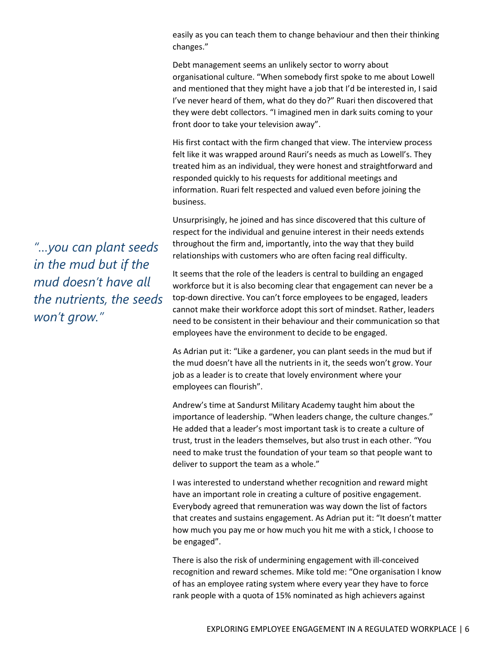easily as you can teach them to change behaviour and then their thinking changes."

Debt management seems an unlikely sector to worry about organisational culture. "When somebody first spoke to me about Lowell and mentioned that they might have a job that I'd be interested in, I said I've never heard of them, what do they do?" Ruari then discovered that they were debt collectors. "I imagined men in dark suits coming to your front door to take your television away".

His first contact with the firm changed that view. The interview process felt like it was wrapped around Rauri's needs as much as Lowell's. They treated him as an individual, they were honest and straightforward and responded quickly to his requests for additional meetings and information. Ruari felt respected and valued even before joining the business.

Unsurprisingly, he joined and has since discovered that this culture of respect for the individual and genuine interest in their needs extends throughout the firm and, importantly, into the way that they build relationships with customers who are often facing real difficulty.

It seems that the role of the leaders is central to building an engaged workforce but it is also becoming clear that engagement can never be a top-down directive. You can't force employees to be engaged, leaders cannot make their workforce adopt this sort of mindset. Rather, leaders need to be consistent in their behaviour and their communication so that employees have the environment to decide to be engaged.

As Adrian put it: "Like a gardener, you can plant seeds in the mud but if the mud doesn't have all the nutrients in it, the seeds won't grow. Your job as a leader is to create that lovely environment where your employees can flourish".

Andrew's time at Sandurst Military Academy taught him about the importance of leadership. "When leaders change, the culture changes." He added that a leader's most important task is to create a culture of trust, trust in the leaders themselves, but also trust in each other. "You need to make trust the foundation of your team so that people want to deliver to support the team as a whole."

I was interested to understand whether recognition and reward might have an important role in creating a culture of positive engagement. Everybody agreed that remuneration was way down the list of factors that creates and sustains engagement. As Adrian put it: "It doesn't matter how much you pay me or how much you hit me with a stick, I choose to be engaged".

There is also the risk of undermining engagement with ill-conceived recognition and reward schemes. Mike told me: "One organisation I know of has an employee rating system where every year they have to force rank people with a quota of 15% nominated as high achievers against

*"…you can plant seeds in the mud but if the mud doesn't have all the nutrients, the seeds won't grow."*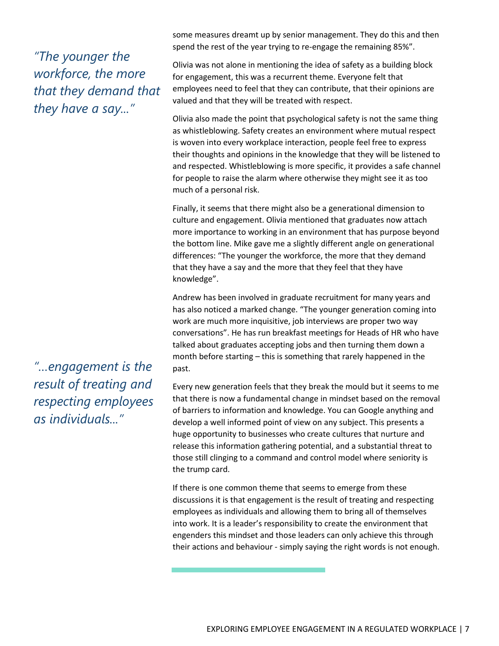#### *"The younger the workforce, the more that they demand that they have a say..."*

some measures dreamt up by senior management. They do this and then spend the rest of the year trying to re-engage the remaining 85%".

Olivia was not alone in mentioning the idea of safety as a building block for engagement, this was a recurrent theme. Everyone felt that employees need to feel that they can contribute, that their opinions are valued and that they will be treated with respect.

Olivia also made the point that psychological safety is not the same thing as whistleblowing. Safety creates an environment where mutual respect is woven into every workplace interaction, people feel free to express their thoughts and opinions in the knowledge that they will be listened to and respected. Whistleblowing is more specific, it provides a safe channel for people to raise the alarm where otherwise they might see it as too much of a personal risk.

Finally, it seems that there might also be a generational dimension to culture and engagement. Olivia mentioned that graduates now attach more importance to working in an environment that has purpose beyond the bottom line. Mike gave me a slightly different angle on generational differences: "The younger the workforce, the more that they demand that they have a say and the more that they feel that they have knowledge".

Andrew has been involved in graduate recruitment for many years and has also noticed a marked change. "The younger generation coming into work are much more inquisitive, job interviews are proper two way conversations". He has run breakfast meetings for Heads of HR who have talked about graduates accepting jobs and then turning them down a month before starting – this is something that rarely happened in the past.

Every new generation feels that they break the mould but it seems to me that there is now a fundamental change in mindset based on the removal of barriers to information and knowledge. You can Google anything and develop a well informed point of view on any subject. This presents a huge opportunity to businesses who create cultures that nurture and release this information gathering potential, and a substantial threat to those still clinging to a command and control model where seniority is the trump card.

If there is one common theme that seems to emerge from these discussions it is that engagement is the result of treating and respecting employees as individuals and allowing them to bring all of themselves into work. It is a leader's responsibility to create the environment that engenders this mindset and those leaders can only achieve this through their actions and behaviour - simply saying the right words is not enough.

*"…engagement is the result of treating and respecting employees as individuals..."*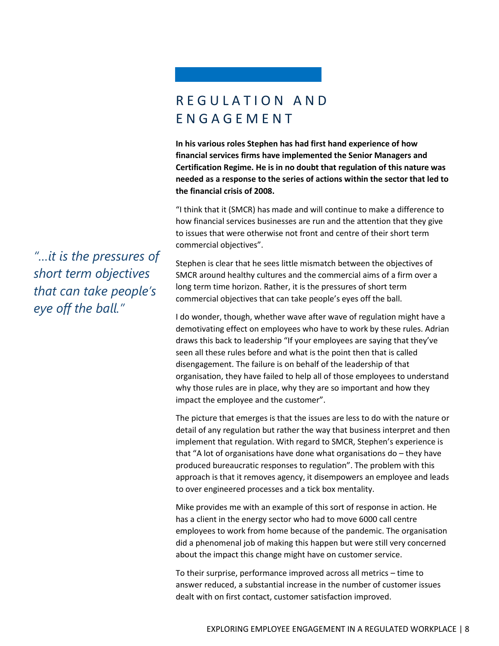#### R E G U L A T I O N A N D E N G A G E M E N T

**In his various roles Stephen has had first hand experience of how financial services firms have implemented the Senior Managers and Certification Regime. He is in no doubt that regulation of this nature was needed as a response to the series of actions within the sector that led to the financial crisis of 2008.** 

"I think that it (SMCR) has made and will continue to make a difference to how financial services businesses are run and the attention that they give to issues that were otherwise not front and centre of their short term commercial objectives".

Stephen is clear that he sees little mismatch between the objectives of SMCR around healthy cultures and the commercial aims of a firm over a long term time horizon. Rather, it is the pressures of short term commercial objectives that can take people's eyes off the ball.

I do wonder, though, whether wave after wave of regulation might have a demotivating effect on employees who have to work by these rules. Adrian draws this back to leadership "If your employees are saying that they've seen all these rules before and what is the point then that is called disengagement. The failure is on behalf of the leadership of that organisation, they have failed to help all of those employees to understand why those rules are in place, why they are so important and how they impact the employee and the customer".

The picture that emerges is that the issues are less to do with the nature or detail of any regulation but rather the way that business interpret and then implement that regulation. With regard to SMCR, Stephen's experience is that "A lot of organisations have done what organisations do – they have produced bureaucratic responses to regulation". The problem with this approach is that it removes agency, it disempowers an employee and leads to over engineered processes and a tick box mentality.

Mike provides me with an example of this sort of response in action. He has a client in the energy sector who had to move 6000 call centre employees to work from home because of the pandemic. The organisation did a phenomenal job of making this happen but were still very concerned about the impact this change might have on customer service.

To their surprise, performance improved across all metrics – time to answer reduced, a substantial increase in the number of customer issues dealt with on first contact, customer satisfaction improved.

*"…it is the pressures of short term objectives that can take people's eye off the ball."*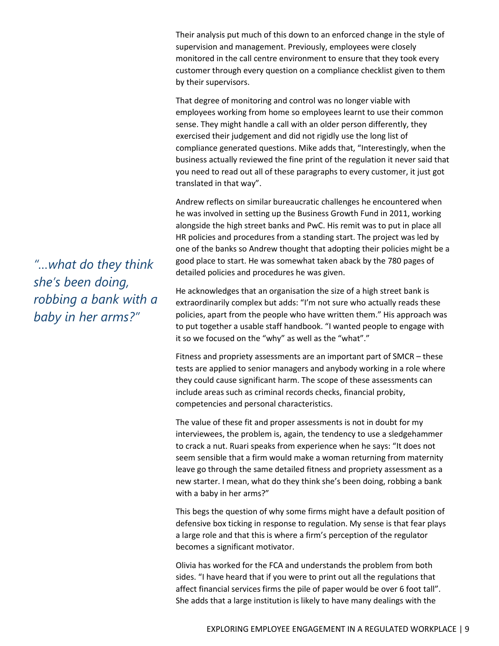Their analysis put much of this down to an enforced change in the style of supervision and management. Previously, employees were closely monitored in the call centre environment to ensure that they took every customer through every question on a compliance checklist given to them by their supervisors.

That degree of monitoring and control was no longer viable with employees working from home so employees learnt to use their common sense. They might handle a call with an older person differently, they exercised their judgement and did not rigidly use the long list of compliance generated questions. Mike adds that, "Interestingly, when the business actually reviewed the fine print of the regulation it never said that you need to read out all of these paragraphs to every customer, it just got translated in that way".

Andrew reflects on similar bureaucratic challenges he encountered when he was involved in setting up the Business Growth Fund in 2011, working alongside the high street banks and PwC. His remit was to put in place all HR policies and procedures from a standing start. The project was led by one of the banks so Andrew thought that adopting their policies might be a good place to start. He was somewhat taken aback by the 780 pages of detailed policies and procedures he was given.

He acknowledges that an organisation the size of a high street bank is extraordinarily complex but adds: "I'm not sure who actually reads these policies, apart from the people who have written them." His approach was to put together a usable staff handbook. "I wanted people to engage with it so we focused on the "why" as well as the "what"."

Fitness and propriety assessments are an important part of SMCR – these tests are applied to senior managers and anybody working in a role where they could cause significant harm. The scope of these assessments can include areas such as criminal records checks, financial probity, competencies and personal characteristics.

The value of these fit and proper assessments is not in doubt for my interviewees, the problem is, again, the tendency to use a sledgehammer to crack a nut. Ruari speaks from experience when he says: "It does not seem sensible that a firm would make a woman returning from maternity leave go through the same detailed fitness and propriety assessment as a new starter. I mean, what do they think she's been doing, robbing a bank with a baby in her arms?"

This begs the question of why some firms might have a default position of defensive box ticking in response to regulation. My sense is that fear plays a large role and that this is where a firm's perception of the regulator becomes a significant motivator.

Olivia has worked for the FCA and understands the problem from both sides. "I have heard that if you were to print out all the regulations that affect financial services firms the pile of paper would be over 6 foot tall". She adds that a large institution is likely to have many dealings with the

*"…what do they think she's been doing, robbing a bank with a baby in her arms?"*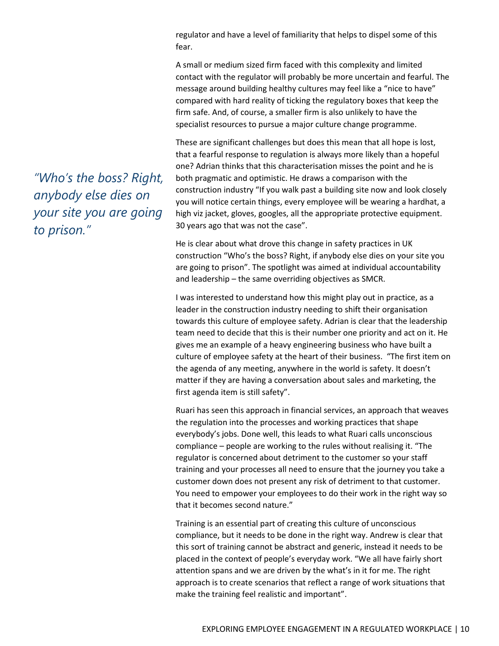regulator and have a level of familiarity that helps to dispel some of this fear.

A small or medium sized firm faced with this complexity and limited contact with the regulator will probably be more uncertain and fearful. The message around building healthy cultures may feel like a "nice to have" compared with hard reality of ticking the regulatory boxes that keep the firm safe. And, of course, a smaller firm is also unlikely to have the specialist resources to pursue a major culture change programme.

These are significant challenges but does this mean that all hope is lost, that a fearful response to regulation is always more likely than a hopeful one? Adrian thinks that this characterisation misses the point and he is both pragmatic and optimistic. He draws a comparison with the construction industry "If you walk past a building site now and look closely you will notice certain things, every employee will be wearing a hardhat, a high viz jacket, gloves, googles, all the appropriate protective equipment. 30 years ago that was not the case".

He is clear about what drove this change in safety practices in UK construction "Who's the boss? Right, if anybody else dies on your site you are going to prison". The spotlight was aimed at individual accountability and leadership – the same overriding objectives as SMCR.

I was interested to understand how this might play out in practice, as a leader in the construction industry needing to shift their organisation towards this culture of employee safety. Adrian is clear that the leadership team need to decide that this is their number one priority and act on it. He gives me an example of a heavy engineering business who have built a culture of employee safety at the heart of their business. "The first item on the agenda of any meeting, anywhere in the world is safety. It doesn't matter if they are having a conversation about sales and marketing, the first agenda item is still safety".

Ruari has seen this approach in financial services, an approach that weaves the regulation into the processes and working practices that shape everybody's jobs. Done well, this leads to what Ruari calls unconscious compliance – people are working to the rules without realising it. "The regulator is concerned about detriment to the customer so your staff training and your processes all need to ensure that the journey you take a customer down does not present any risk of detriment to that customer. You need to empower your employees to do their work in the right way so that it becomes second nature."

Training is an essential part of creating this culture of unconscious compliance, but it needs to be done in the right way. Andrew is clear that this sort of training cannot be abstract and generic, instead it needs to be placed in the context of people's everyday work. "We all have fairly short attention spans and we are driven by the what's in it for me. The right approach is to create scenarios that reflect a range of work situations that make the training feel realistic and important".

*"Who's the boss? Right, anybody else dies on your site you are going to prison."*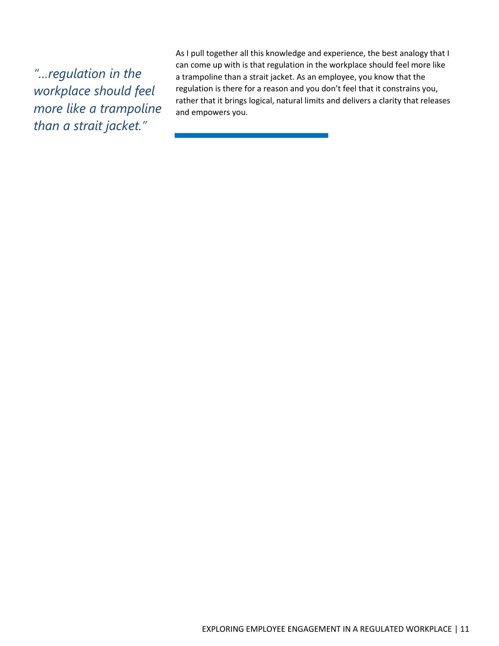*"…regulation in the workplace should feel more like a trampoline than a strait jacket."* 

As I pull together all this knowledge and experience, the best analogy that I can come up with is that regulation in the workplace should feel more like a trampoline than a strait jacket. As an employee, you know that the regulation is there for a reason and you don't feel that it constrains you, rather that it brings logical, natural limits and delivers a clarity that releases and empowers you.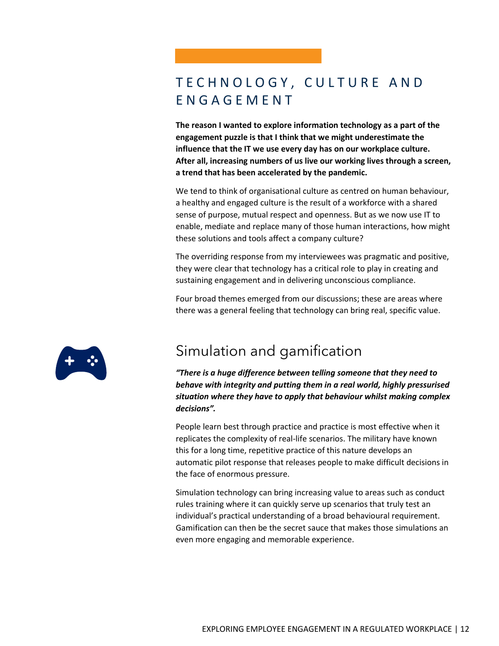#### TECHNOLOGY, CULTURE AND E N G A G E M E N T

**The reason I wanted to explore information technology as a part of the engagement puzzle is that I think that we might underestimate the influence that the IT we use every day has on our workplace culture. After all, increasing numbers of us live our working lives through a screen, a trend that has been accelerated by the pandemic.**

We tend to think of organisational culture as centred on human behaviour, a healthy and engaged culture is the result of a workforce with a shared sense of purpose, mutual respect and openness. But as we now use IT to enable, mediate and replace many of those human interactions, how might these solutions and tools affect a company culture?

The overriding response from my interviewees was pragmatic and positive, they were clear that technology has a critical role to play in creating and sustaining engagement and in delivering unconscious compliance.

Four broad themes emerged from our discussions; these are areas where there was a general feeling that technology can bring real, specific value.



#### Simulation and gamification

*"There is a huge difference between telling someone that they need to behave with integrity and putting them in a real world, highly pressurised situation where they have to apply that behaviour whilst making complex decisions".*

People learn best through practice and practice is most effective when it replicates the complexity of real-life scenarios. The military have known this for a long time, repetitive practice of this nature develops an automatic pilot response that releases people to make difficult decisions in the face of enormous pressure.

Simulation technology can bring increasing value to areas such as conduct rules training where it can quickly serve up scenarios that truly test an individual's practical understanding of a broad behavioural requirement. Gamification can then be the secret sauce that makes those simulations an even more engaging and memorable experience.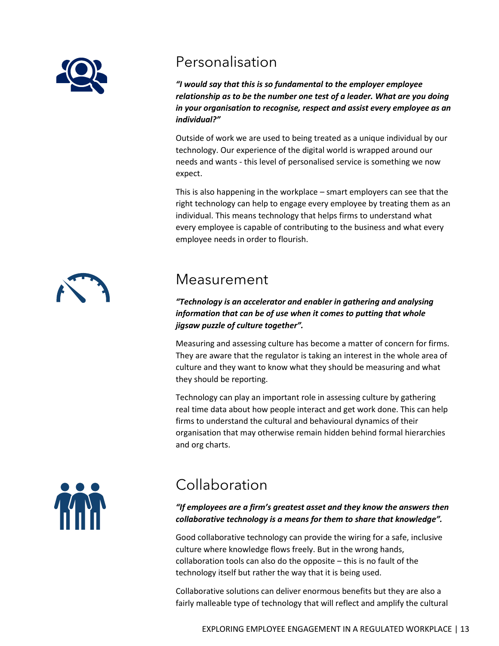

#### Personalisation

*"I would say that this is so fundamental to the employer employee relationship as to be the number one test of a leader. What are you doing in your organisation to recognise, respect and assist every employee as an individual?"*

Outside of work we are used to being treated as a unique individual by our technology. Our experience of the digital world is wrapped around our needs and wants - this level of personalised service is something we now expect.

This is also happening in the workplace – smart employers can see that the right technology can help to engage every employee by treating them as an individual. This means technology that helps firms to understand what every employee is capable of contributing to the business and what every employee needs in order to flourish.

#### Measurement

*"Technology is an accelerator and enabler in gathering and analysing information that can be of use when it comes to putting that whole jigsaw puzzle of culture together".*

Measuring and assessing culture has become a matter of concern for firms. They are aware that the regulator is taking an interest in the whole area of culture and they want to know what they should be measuring and what they should be reporting.

Technology can play an important role in assessing culture by gathering real time data about how people interact and get work done. This can help firms to understand the cultural and behavioural dynamics of their organisation that may otherwise remain hidden behind formal hierarchies and org charts.



### Collaboration

*"If employees are a firm's greatest asset and they know the answers then collaborative technology is a means for them to share that knowledge".*

Good collaborative technology can provide the wiring for a safe, inclusive culture where knowledge flows freely. But in the wrong hands, collaboration tools can also do the opposite – this is no fault of the technology itself but rather the way that it is being used.

Collaborative solutions can deliver enormous benefits but they are also a fairly malleable type of technology that will reflect and amplify the cultural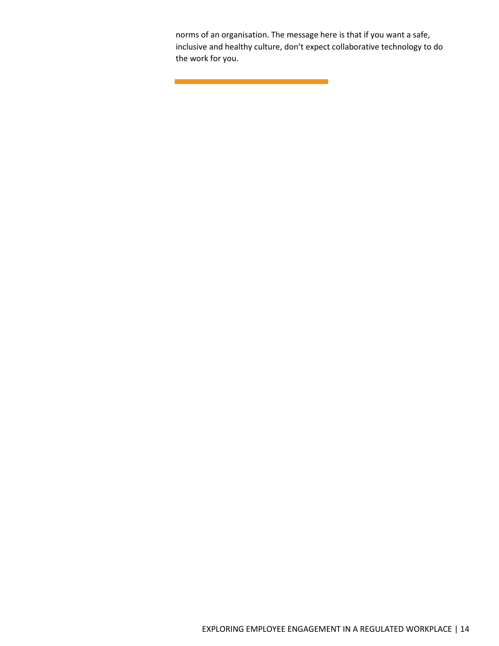norms of an organisation. The message here is that if you want a safe, inclusive and healthy culture, don't expect collaborative technology to do the work for you.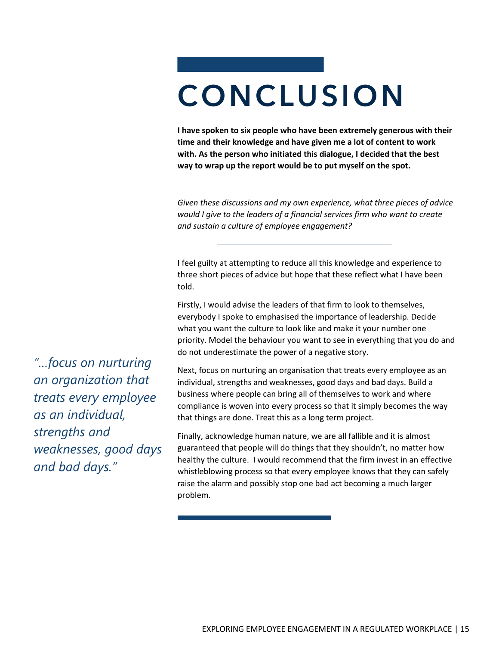## **CONCLUSION**

**I have spoken to six people who have been extremely generous with their time and their knowledge and have given me a lot of content to work with. As the person who initiated this dialogue, I decided that the best way to wrap up the report would be to put myself on the spot.** 

*Given these discussions and my own experience, what three pieces of advice would I give to the leaders of a financial services firm who want to create and sustain a culture of employee engagement?*

I feel guilty at attempting to reduce all this knowledge and experience to three short pieces of advice but hope that these reflect what I have been told.

Firstly, I would advise the leaders of that firm to look to themselves, everybody I spoke to emphasised the importance of leadership. Decide what you want the culture to look like and make it your number one priority. Model the behaviour you want to see in everything that you do and do not underestimate the power of a negative story.

Next, focus on nurturing an organisation that treats every employee as an individual, strengths and weaknesses, good days and bad days. Build a business where people can bring all of themselves to work and where compliance is woven into every process so that it simply becomes the way that things are done. Treat this as a long term project.

Finally, acknowledge human nature, we are all fallible and it is almost guaranteed that people will do things that they shouldn't, no matter how healthy the culture. I would recommend that the firm invest in an effective whistleblowing process so that every employee knows that they can safely raise the alarm and possibly stop one bad act becoming a much larger problem.

*"…focus on nurturing an organization that treats every employee as an individual, strengths and weaknesses, good days and bad days."*